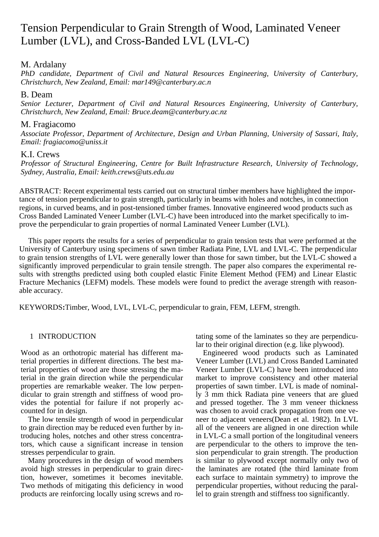# Tension Perpendicular to Grain Strength of Wood, Laminated Veneer Lumber (LVL), and Cross-Banded LVL (LVL-C)

## M. Ardalany

*PhD candidate, Department of Civil and Natural Resources Engineering, University of Canterbury, Christchurch, New Zealand, Email: mar149@canterbury.ac.n*

## B. Deam

*Senior Lecturer, Department of Civil and Natural Resources Engineering, University of Canterbury, Christchurch, New Zealand, Email: Bruce.deam@canterbury.ac.nz*

## M. Fragiacomo

*Associate Professor, Department of Architecture, Design and Urban Planning, University of Sassari, Italy, Email: fragiacomo@uniss.it*

## K.I. Crews

*Professor of Structural Engineering, Centre for Built Infrastructure Research, University of Technology, Sydney, Australia, Email: keith.crews@uts.edu.au*

ABSTRACT: Recent experimental tests carried out on structural timber members have highlighted the importance of tension perpendicular to grain strength, particularly in beams with holes and notches, in connection regions, in curved beams, and in post-tensioned timber frames. Innovative engineered wood products such as Cross Banded Laminated Veneer Lumber (LVL-C) have been introduced into the market specifically to improve the perpendicular to grain properties of normal Laminated Veneer Lumber (LVL).

This paper reports the results for a series of perpendicular to grain tension tests that were performed at the University of Canterbury using specimens of sawn timber Radiata Pine, LVL and LVL-C. The perpendicular to grain tension strengths of LVL were generally lower than those for sawn timber, but the LVL-C showed a significantly improved perpendicular to grain tensile strength. The paper also compares the experimental results with strengths predicted using both coupled elastic Finite Element Method (FEM) and Linear Elastic Fracture Mechanics (LEFM) models. These models were found to predict the average strength with reasonable accuracy.

KEYWORDS**:**Timber, Wood, LVL, LVL-C, perpendicular to grain, FEM, LEFM, strength.

## 1 INTRODUCTION

Wood as an orthotropic material has different material properties in different directions. The best material properties of wood are those stressing the material in the grain direction while the perpendicular properties are remarkable weaker. The low perpendicular to grain strength and stiffness of wood provides the potential for failure if not properly accounted for in design.

The low tensile strength of wood in perpendicular to grain direction may be reduced even further by introducing holes, notches and other stress concentrators, which cause a significant increase in tension stresses perpendicular to grain.

Many procedures in the design of wood members avoid high stresses in perpendicular to grain direction, however, sometimes it becomes inevitable. Two methods of mitigating this deficiency in wood products are reinforcing locally using screws and rotating some of the laminates so they are perpendicular to their original direction (e.g. like plywood).

Engineered wood products such as Laminated Veneer Lumber (LVL) and Cross Banded Laminated Veneer Lumber (LVL-C) have been introduced into market to improve consistency and other material properties of sawn timber. LVL is made of nominally 3 mm thick Radiata pine veneers that are glued and pressed together. The 3 mm veneer thickness was chosen to avoid crack propagation from one veneer to adjacent veneers(Dean et al. 1982). In LVL all of the veneers are aligned in one direction while in LVL-C a small portion of the longitudinal veneers are perpendicular to the others to improve the tension perpendicular to grain strength. The production is similar to plywood except normally only two of the laminates are rotated (the third laminate from each surface to maintain symmetry) to improve the perpendicular properties, without reducing the parallel to grain strength and stiffness too significantly.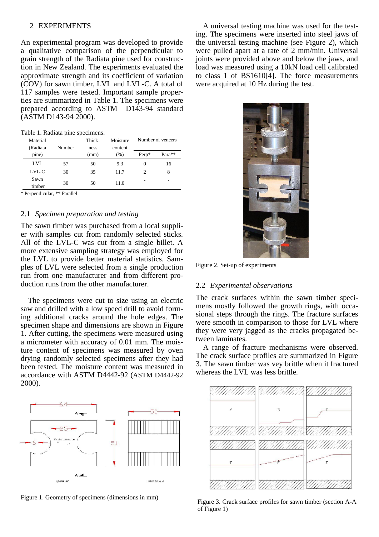#### 2 EXPERIMENTS

An experimental program was developed to provide a qualitative comparison of the perpendicular to grain strength of the Radiata pine used for construction in New Zealand. The experiments evaluated the approximate strength and its coefficient of variation (COV) for sawn timber, LVL and LVL-C. A total of 117 samples were tested. Important sample properties are summarized in [Table 1.](#page-1-0) The specimens were prepared according to ASTM D143-94 standard (ASTM D143-94 2000).

<span id="page-1-0"></span>Table 1. Radiata pine specimens.

| Material<br>(Radiata | Number | Thick-<br>ness | Moisture<br>content | Number of veneers |        |
|----------------------|--------|----------------|---------------------|-------------------|--------|
| pine)                |        | (mm)           | (% )                | Perp*             | Para** |
| LVL                  | 57     | 50             | 9.3                 | $_{0}$            | 16     |
| $LVI$ <sub>-</sub> C | 30     | 35             | 11.7                | $\mathfrak{D}$    | 8      |
| Sawn<br>timber       | 30     | 50             | 11.0                |                   | -      |

\* Perpendicular, \*\* Parallel

### 2.1 *Specimen preparation and testing*

The sawn timber was purchased from a local supplier with samples cut from randomly selected sticks. All of the LVL-C was cut from a single billet. A more extensive sampling strategy was employed for the LVL to provide better material statistics. Samples of LVL were selected from a single production run from one manufacturer and from different production runs from the other manufacturer.

The specimens were cut to size using an electric saw and drilled with a low speed drill to avoid forming additional cracks around the hole edges. The specimen shape and dimensions are shown in [Figure](#page-1-1)  [1.](#page-1-1) After cutting, the specimens were measured using a micrometer with accuracy of 0.01 mm. The moisture content of specimens was measured by oven drying randomly selected specimens after they had been tested. The moisture content was measured in accordance with ASTM D4442-92 (ASTM D4442-92 2000).



<span id="page-1-1"></span>Figure 1. Geometry of specimens (dimensions in mm)

A universal testing machine was used for the testing. The specimens were inserted into steel jaws of the universal testing machine (see [Figure 2\)](#page-1-2), which were pulled apart at a rate of 2 mm/min. Universal joints were provided above and below the jaws, and load was measured using a 10kN load cell calibrated to class 1 of BS1610[4]. The force measurements were acquired at 10 Hz during the test.



Figure 2. Set-up of experiments

#### <span id="page-1-2"></span>2.2 *Experimental observations*

The crack surfaces within the sawn timber specimens mostly followed the growth rings, with occasional steps through the rings. The fracture surfaces were smooth in comparison to those for LVL where they were very jagged as the cracks propagated between laminates.

A range of fracture mechanisms were observed. The crack surface profiles are summarized in [Figure](#page-1-3)  [3.](#page-1-3) The sawn timber was vey brittle when it fractured whereas the LVL was less brittle.



<span id="page-1-3"></span>Figure 3. Crack surface profiles for sawn timber (section A-A of [Figure 1\)](#page-1-1)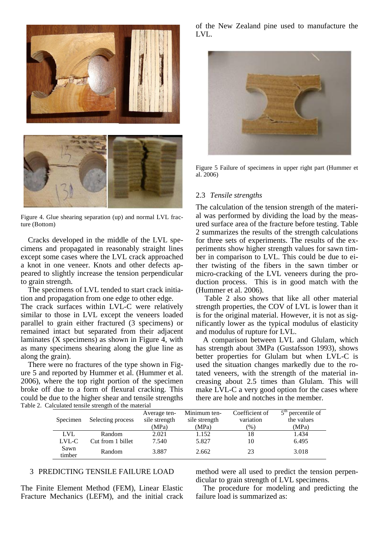

Figure 4. Glue shearing separation (up) and normal LVL fracture (Bottom)

Cracks developed in the middle of the LVL specimens and propagated in reasonably straight lines except some cases where the LVL crack approached a knot in one veneer. Knots and other defects appeared to slightly increase the tension perpendicular to grain strength.

The specimens of LVL tended to start crack initiation and propagation from one edge to other edge.

The crack surfaces within LVL-C were relatively similar to those in LVL except the veneers loaded parallel to grain either fractured (3 specimens) or remained intact but separated from their adjacent laminates (X specimens) as shown in Figure 4, with as many specimens shearing along the glue line as along the grain).

There were no fractures of the type shown in [Fig](#page-2-0)[ure 5](#page-2-0) and reported by Hummer et al. (Hummer et al. 2006), where the top right portion of the specimen broke off due to a form of flexural cracking. This could be due to the higher shear and tensile strengths Table 2. Calculated tensile strength of the material

of the New Zealand pine used to manufacture the LVL.



<span id="page-2-0"></span>Figure 5 Failure of specimens in upper right part (Hummer et al. 2006)

### 2.3 *Tensile strengths*

The calculation of the tension strength of the material was performed by dividing the load by the measured surface area of the fracture before testing. [Table](#page-2-1)  [2](#page-2-1) summarizes the results of the strength calculations for three sets of experiments. The results of the experiments show higher strength values for sawn timber in comparison to LVL. This could be due to either twisting of the fibers in the sawn timber or micro-cracking of the LVL veneers during the production process. This is in good match with the (Hummer et al. 2006).

[Table 2](#page-2-1) also shows that like all other material strength properties, the COV of LVL is lower than it is for the original material. However, it is not as significantly lower as the typical modulus of elasticity and modulus of rupture for LVL.

A comparison between LVL and Glulam, which has strength about 3MPa (Gustafsson 1993), shows better properties for Glulam but when LVL-C is used the situation changes markedly due to the rotated veneers, with the strength of the material increasing about 2.5 times than Glulam. This will make LVL-C a very good option for the cases where there are hole and notches in the member.

<span id="page-2-1"></span>

| Specimen       | Selecting process | Average ten-<br>sile strength<br>(MPa) | Minimum ten-<br>sile strength<br>(MPa) | Coefficient of<br>variation<br>(% ) | $5th$ percentile of<br>the values<br>(MPa) |
|----------------|-------------------|----------------------------------------|----------------------------------------|-------------------------------------|--------------------------------------------|
| <b>LVL</b>     | Random            | 2.021                                  | 1.152                                  | 18                                  | 1.434                                      |
| LVL-C          | Cut from 1 billet | 7.540                                  | 5.827                                  | 10                                  | 6.495                                      |
| Sawn<br>timber | Random            | 3.887                                  | 2.662                                  | 23                                  | 3.018                                      |

## 3 PREDICTING TENSILE FAILURE LOAD

The Finite Element Method (FEM), Linear Elastic Fracture Mechanics (LEFM), and the initial crack method were all used to predict the tension perpendicular to grain strength of LVL specimens.

The procedure for modeling and predicting the failure load is summarized as: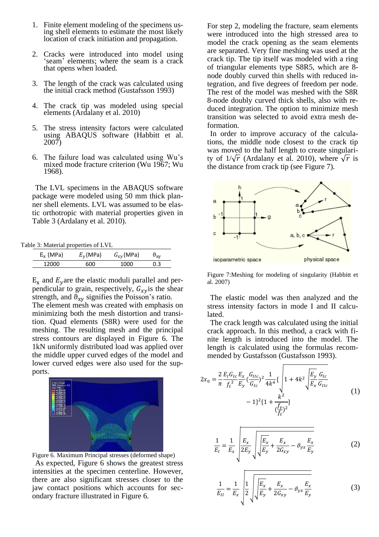- 1. Finite element modeling of the specimens using shell elements to estimate the most likely location of crack initiation and propagation.
- 2. Cracks were introduced into model using 'seam' elements; where the seam is a crack that opens when loaded.
- 3. The length of the crack was calculated using the initial crack method (Gustafsson 1993)
- 4. The crack tip was modeled using special elements (Ardalany et al. 2010)
- 5. The stress intensity factors were calculated using ABAQUS software (Habbitt et al. 2007)
- 6. The failure load was calculated using Wu's mixed mode fracture criterion (Wu 1967; Wu 1968).

The LVL specimens in the ABAQUS software package were modeled using 50 mm thick planner shell elements. LVL was assumed to be elastic orthotropic with material properties given in [Table 3](#page-3-0) (Ardalany et al. 2010).

<span id="page-3-0"></span>Table 3: Material properties of LVL

| $E_x$ (MPa) | $E_{\nu}$ (MPa) | $G_{xy}$ (MPa) | $v_{xy}$ |
|-------------|-----------------|----------------|----------|
| 12000       | 600             | 1000           | 0.3      |

 $E_x$  and  $E_y$  are the elastic moduli parallel and perpendicular to grain, respectively,  $G_{xy}$  is the shear strength, and  $\theta_{xy}$  signifies the Poisson's ratio.

The element mesh was created with emphasis on minimizing both the mesh distortion and transition. Quad elements (S8R) were used for the meshing. The resulting mesh and the principal stress contours are displayed in [Figure 6.](#page-3-1) The 1kN uniformly distributed load was applied over the middle upper curved edges of the model and lower curved edges were also used for the supports.

<span id="page-3-1"></span>

Figure 6. Maximum Principal stresses (deformed shape) As expected, [Figure 6](#page-3-1) shows the greatest stress intensities at the specimen centerline. However, there are also significant stresses closer to the jaw contact positions which accounts for secondary fracture illustrated in [Figure 6.](#page-3-1)

For step 2, modeling the fracture, seam elements were introduced into the high stressed area to model the crack opening as the seam elements are separated. Very fine meshing was used at the crack tip. The tip itself was modeled with a ring of triangular elements type S8R5, which are 8 node doubly curved thin shells with reduced integration, and five degrees of freedom per node. The rest of the model was meshed with the S8R 8-node doubly curved thick shells, also with reduced integration. The option to minimize mesh transition was selected to avoid extra mesh deformation.

In order to improve accuracy of the calculations, the middle node closest to the crack tip was moved to the half length to create singularity of  $1/\sqrt{r}$  (Ardalany et al. 2010), where  $\sqrt{r}$  is the distance from crack tip (see [Figure 7\)](#page-3-2).



<span id="page-3-2"></span>Figure 7:Meshing for modeling of singularity (Habbitt et al. 2007)

The elastic model was then analyzed and the stress intensity factors in mode I and II calculated.

The crack length was calculated using the initial crack approach. In this method, a crack with finite length is introduced into the model. The length is calculated using the formulas recommended by Gustafsson (Gustafsson 1993).

$$
2x_0 = \frac{2}{\pi} \frac{E_I G_{Ic}}{f_t^2} \frac{E_x}{E_y} \left(\frac{G_{IIC}}{G_{Ic}}\right)^2 \frac{1}{4k^4} \left\{\n\begin{aligned}\n1 + 4k^2 \sqrt{\frac{E_y}{E_x}} \frac{G_{Ic}}{G_{Ilc}} \\
-\n1 \frac{1}{2} \left\{1 + \frac{k^2}{\left(\frac{f_v}{f_t}\right)^2}\right\}\n\end{aligned}\n\right\}
$$
\n(1)

$$
\frac{1}{E_I} = \frac{1}{E_x} \sqrt{\frac{E_x}{2E_y} \sqrt{\frac{E_x}{E_y} + \frac{E_x}{2G_{xy}}} - \vartheta_{yx} \frac{E_x}{E_y}} \tag{2}
$$

$$
\frac{1}{E_{II}} = \frac{1}{E_x} \sqrt{\frac{1}{2} \sqrt{\frac{E_x}{E_y} + \frac{E_x}{2G_{xy}}} - \vartheta_{yx} \frac{E_x}{E_y}} \tag{3}
$$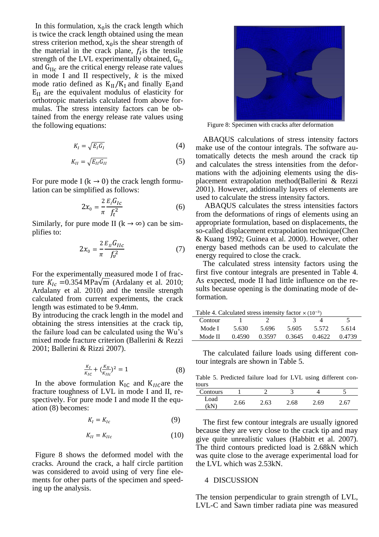In this formulation,  $x_0$  is the crack length which is twice the crack length obtained using the mean stress criterion method,  $x<sub>0</sub>$  is the shear strength of the material in the crack plane,  $f_t$  is the tensile strength of the LVL experimentally obtained,  $G_{Ic}$ and  $G_{\text{HC}}$  are the critical energy release rate values in mode I and II respectively,  $k$  is the mixed mode ratio defined as  $K_{II}/K_I$  and finally E<sub>I</sub>and  $E_{II}$  are the equivalent modulus of elasticity for orthotropic materials calculated from above formulas. The stress intensity factors can be obtained from the energy release rate values using the following equations:

$$
K_I = \sqrt{E_I G_I} \tag{4}
$$

$$
K_{II} = \sqrt{E_{II} G_{II}} \tag{5}
$$

For pure mode I ( $k \rightarrow 0$ ) the crack length formulation can be simplified as follows:

$$
2x_0 = \frac{2}{\pi} \frac{E_I G_{Ic}}{f_t^2}
$$
 (6)

Similarly, for pure mode II ( $k \rightarrow \infty$ ) can be simplifies to:

$$
2x_0 = \frac{2}{\pi} \frac{E_{II} G_{IIc}}{f_v^2} \tag{7}
$$

For the experimentally measured mode I of fracture  $K_{1c} = 0.354 \text{ MPa}\sqrt{\text{m}}$  (Ardalany et al. 2010; Ardalany et al. 2010) and the tensile strength calculated from current experiments, the crack length was estimated to be 9.4mm.

By introducing the crack length in the model and obtaining the stress intensities at the crack tip, the failure load can be calculated using the Wu's mixed mode fracture criterion (Ballerini & Rezzi 2001; Ballerini & Rizzi 2007).

$$
\frac{\kappa_I}{\kappa_{IC}} + (\frac{\kappa_{II}}{\kappa_{IIC}})^2 = 1\tag{8}
$$

In the above formulation  $K_{IC}$  and  $K_{IL}$  are the fracture toughness of LVL in mode I and II, respectively. For pure mode I and mode II the equation (8) becomes:

$$
K_I = K_{Ic} \tag{9}
$$

$$
K_{II} = K_{IIc} \tag{10}
$$

[Figure 8](#page-4-0) shows the deformed model with the cracks. Around the crack, a half circle partition was considered to avoid using of very fine elements for other parts of the specimen and speeding up the analysis.



Figure 8: Specimen with cracks after deformation

<span id="page-4-0"></span>ABAQUS calculations of stress intensity factors make use of the contour integrals. The software automatically detects the mesh around the crack tip and calculates the stress intensities from the deformations with the adjoining elements using the displacement extrapolation method(Ballerini & Rezzi 2001). However, additionally layers of elements are used to calculate the stress intensity factors.

ABAQUS calculates the stress intensities factors from the deformations of rings of elements using an appropriate formulation, based on displacements, the so-called displacement extrapolation technique(Chen & Kuang 1992; Guinea et al. 2000). However, other energy based methods can be used to calculate the energy required to close the crack.

The calculated stress intensity factors using the first five contour integrals are presented in Table 4. As expected, mode II had little influence on the results because opening is the dominating mode of deformation.

| Table 4. Calculated stress intensity factor $\times$ (10 <sup>-3</sup> ) |  |
|--------------------------------------------------------------------------|--|
|--------------------------------------------------------------------------|--|

| Contour  |        |        |        |        |        |
|----------|--------|--------|--------|--------|--------|
| Mode I - | 5.630  | 5.696  | 5.605  | 5.572  | 5.614  |
| Mode II  | 0.4590 | 0.3597 | 0.3645 | 0.4622 | 0.4739 |

The calculated failure loads using different contour integrals are shown in [Table 5.](#page-4-1)

<span id="page-4-1"></span>Table 5. Predicted failure load for LVL using different contours

| Contours                 |      |      | -    |      | . .         |
|--------------------------|------|------|------|------|-------------|
| Load<br>7.NI<br><b>N</b> | 2.66 | 2.63 | 2.68 | 2.69 | $6^{\circ}$ |

The first few contour integrals are usually ignored because they are very close to the crack tip and may give quite unrealistic values (Habbitt et al. 2007). The third contours predicted load is 2.68kN which was quite close to the average experimental load for the LVL which was 2.53kN.

#### 4 DISCUSSION

The tension perpendicular to grain strength of LVL, LVL-C and Sawn timber radiata pine was measured